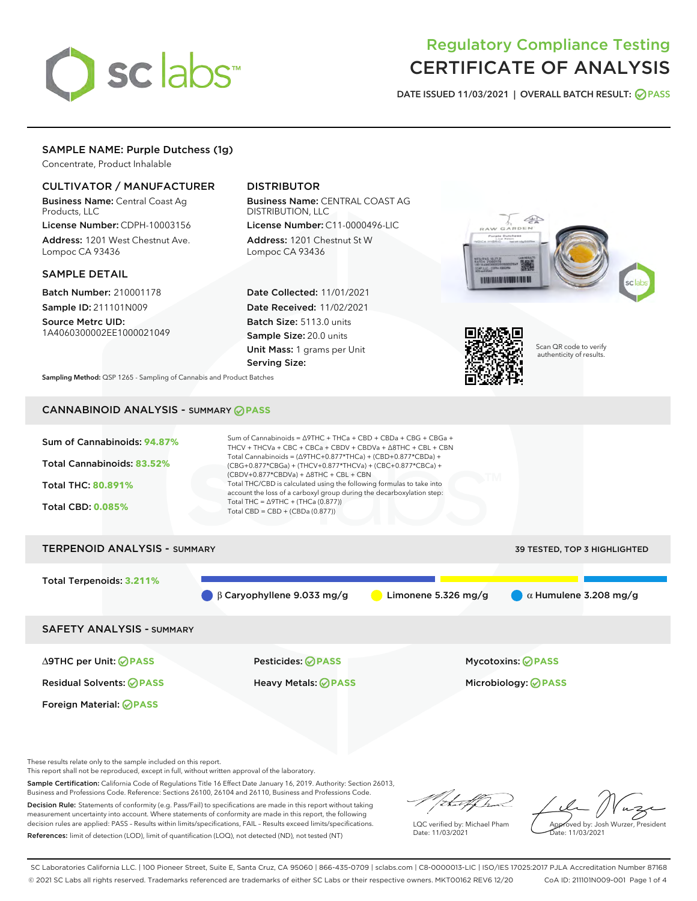

# Regulatory Compliance Testing CERTIFICATE OF ANALYSIS

DATE ISSUED 11/03/2021 | OVERALL BATCH RESULT: @ PASS

### SAMPLE NAME: Purple Dutchess (1g)

Concentrate, Product Inhalable

#### CULTIVATOR / MANUFACTURER

Business Name: Central Coast Ag Products, LLC

License Number: CDPH-10003156 Address: 1201 West Chestnut Ave. Lompoc CA 93436

#### SAMPLE DETAIL

Batch Number: 210001178 Sample ID: 211101N009

Source Metrc UID: 1A4060300002EE1000021049

## DISTRIBUTOR

Business Name: CENTRAL COAST AG DISTRIBUTION, LLC License Number: C11-0000496-LIC

Address: 1201 Chestnut St W Lompoc CA 93436

Date Collected: 11/01/2021 Date Received: 11/02/2021 Batch Size: 5113.0 units Sample Size: 20.0 units Unit Mass: 1 grams per Unit Serving Size:





Scan QR code to verify authenticity of results.

Sampling Method: QSP 1265 - Sampling of Cannabis and Product Batches

## CANNABINOID ANALYSIS - SUMMARY **PASS**



These results relate only to the sample included on this report.

This report shall not be reproduced, except in full, without written approval of the laboratory.

Sample Certification: California Code of Regulations Title 16 Effect Date January 16, 2019. Authority: Section 26013, Business and Professions Code. Reference: Sections 26100, 26104 and 26110, Business and Professions Code.

Decision Rule: Statements of conformity (e.g. Pass/Fail) to specifications are made in this report without taking measurement uncertainty into account. Where statements of conformity are made in this report, the following decision rules are applied: PASS – Results within limits/specifications, FAIL – Results exceed limits/specifications. References: limit of detection (LOD), limit of quantification (LOQ), not detected (ND), not tested (NT)

that for

LQC verified by: Michael Pham Date: 11/03/2021

Approved by: Josh Wurzer, President ate: 11/03/2021

SC Laboratories California LLC. | 100 Pioneer Street, Suite E, Santa Cruz, CA 95060 | 866-435-0709 | sclabs.com | C8-0000013-LIC | ISO/IES 17025:2017 PJLA Accreditation Number 87168 © 2021 SC Labs all rights reserved. Trademarks referenced are trademarks of either SC Labs or their respective owners. MKT00162 REV6 12/20 CoA ID: 211101N009-001 Page 1 of 4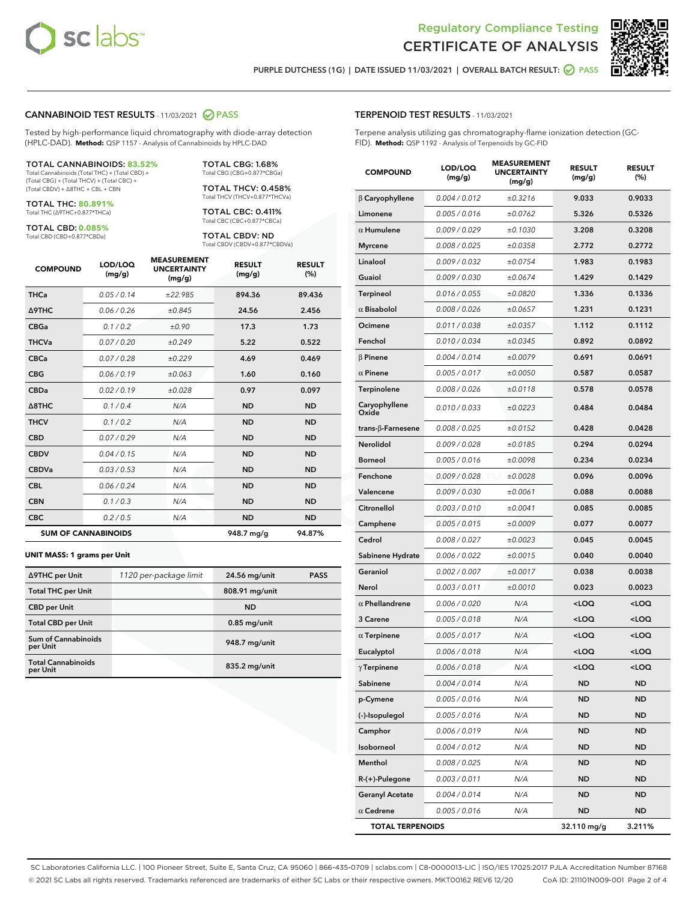



PURPLE DUTCHESS (1G) | DATE ISSUED 11/03/2021 | OVERALL BATCH RESULT: **○** PASS

#### CANNABINOID TEST RESULTS - 11/03/2021 2 PASS

Tested by high-performance liquid chromatography with diode-array detection (HPLC-DAD). **Method:** QSP 1157 - Analysis of Cannabinoids by HPLC-DAD

#### TOTAL CANNABINOIDS: **83.52%**

Total Cannabinoids (Total THC) + (Total CBD) + (Total CBG) + (Total THCV) + (Total CBC) + (Total CBDV) + ∆8THC + CBL + CBN

TOTAL THC: **80.891%** Total THC (∆9THC+0.877\*THCa)

TOTAL CBD: **0.085%**

Total CBD (CBD+0.877\*CBDa)

TOTAL CBG: 1.68% Total CBG (CBG+0.877\*CBGa)

TOTAL THCV: 0.458% Total THCV (THCV+0.877\*THCVa)

TOTAL CBC: 0.411% Total CBC (CBC+0.877\*CBCa)

TOTAL CBDV: ND Total CBDV (CBDV+0.877\*CBDVa)

| <b>COMPOUND</b>            | LOD/LOQ<br>(mg/g) | <b>MEASUREMENT</b><br><b>UNCERTAINTY</b><br>(mg/g) | <b>RESULT</b><br>(mg/g) | <b>RESULT</b><br>(%) |
|----------------------------|-------------------|----------------------------------------------------|-------------------------|----------------------|
| <b>THCa</b>                | 0.05/0.14         | ±22.985                                            | 894.36                  | 89.436               |
| <b>A9THC</b>               | 0.06 / 0.26       | ±0.845                                             | 24.56                   | 2.456                |
| <b>CBGa</b>                | 0.1/0.2           | ±0.90                                              | 17.3                    | 1.73                 |
| <b>THCVa</b>               | 0.07/0.20         | ±0.249                                             | 5.22                    | 0.522                |
| <b>CBCa</b>                | 0.07/0.28         | ±0.229                                             | 4.69                    | 0.469                |
| <b>CBG</b>                 | 0.06/0.19         | ±0.063                                             | 1.60                    | 0.160                |
| <b>CBDa</b>                | 0.02/0.19         | ±0.028                                             | 0.97                    | 0.097                |
| $\triangle$ 8THC           | 0.1 / 0.4         | N/A                                                | <b>ND</b>               | <b>ND</b>            |
| <b>THCV</b>                | 0.1/0.2           | N/A                                                | <b>ND</b>               | <b>ND</b>            |
| <b>CBD</b>                 | 0.07/0.29         | N/A                                                | <b>ND</b>               | <b>ND</b>            |
| <b>CBDV</b>                | 0.04 / 0.15       | N/A                                                | <b>ND</b>               | <b>ND</b>            |
| <b>CBDVa</b>               | 0.03 / 0.53       | N/A                                                | <b>ND</b>               | <b>ND</b>            |
| <b>CBL</b>                 | 0.06 / 0.24       | N/A                                                | <b>ND</b>               | <b>ND</b>            |
| <b>CBN</b>                 | 0.1/0.3           | N/A                                                | <b>ND</b>               | <b>ND</b>            |
| <b>CBC</b>                 | 0.2 / 0.5         | N/A                                                | <b>ND</b>               | <b>ND</b>            |
| <b>SUM OF CANNABINOIDS</b> |                   |                                                    | 948.7 mg/g              | 94.87%               |

#### **UNIT MASS: 1 grams per Unit**

| ∆9THC per Unit                        | 1120 per-package limit | 24.56 mg/unit   | <b>PASS</b> |
|---------------------------------------|------------------------|-----------------|-------------|
| <b>Total THC per Unit</b>             |                        | 808.91 mg/unit  |             |
| <b>CBD per Unit</b>                   |                        | <b>ND</b>       |             |
| <b>Total CBD per Unit</b>             |                        | $0.85$ mg/unit  |             |
| Sum of Cannabinoids<br>per Unit       |                        | 948.7 mg/unit   |             |
| <b>Total Cannabinoids</b><br>per Unit |                        | $835.2$ mg/unit |             |

#### TERPENOID TEST RESULTS - 11/03/2021

Terpene analysis utilizing gas chromatography-flame ionization detection (GC-FID). **Method:** QSP 1192 - Analysis of Terpenoids by GC-FID

| <b>COMPOUND</b>         | LOD/LOQ<br>(mg/g) | <b>MEASUREMENT</b><br><b>UNCERTAINTY</b><br>(mg/g) | <b>RESULT</b><br>(mg/g)                         | <b>RESULT</b><br>(%) |
|-------------------------|-------------------|----------------------------------------------------|-------------------------------------------------|----------------------|
| $\beta$ Caryophyllene   | 0.004 / 0.012     | ±0.3216                                            | 9.033                                           | 0.9033               |
| Limonene                | 0.005 / 0.016     | ±0.0762                                            | 5.326                                           | 0.5326               |
| $\alpha$ Humulene       | 0.009/0.029       | ±0.1030                                            | 3.208                                           | 0.3208               |
| <b>Myrcene</b>          | 0.008 / 0.025     | ±0.0358                                            | 2.772                                           | 0.2772               |
| Linalool                | 0.009 / 0.032     | ±0.0754                                            | 1.983                                           | 0.1983               |
| Guaiol                  | 0.009 / 0.030     | ±0.0674                                            | 1.429                                           | 0.1429               |
| Terpineol               | 0.016 / 0.055     | ±0.0820                                            | 1.336                                           | 0.1336               |
| $\alpha$ Bisabolol      | 0.008 / 0.026     | ±0.0657                                            | 1.231                                           | 0.1231               |
| Ocimene                 | 0.011 / 0.038     | ±0.0357                                            | 1.112                                           | 0.1112               |
| Fenchol                 | 0.010 / 0.034     | ±0.0345                                            | 0.892                                           | 0.0892               |
| $\beta$ Pinene          | 0.004 / 0.014     | ±0.0079                                            | 0.691                                           | 0.0691               |
| $\alpha$ Pinene         | 0.005 / 0.017     | ±0.0050                                            | 0.587                                           | 0.0587               |
| Terpinolene             | 0.008 / 0.026     | ±0.0118                                            | 0.578                                           | 0.0578               |
| Caryophyllene<br>Oxide  | 0.010 / 0.033     | ±0.0223                                            | 0.484                                           | 0.0484               |
| trans-ß-Farnesene       | 0.008 / 0.025     | ±0.0152                                            | 0.428                                           | 0.0428               |
| <b>Nerolidol</b>        | 0.009 / 0.028     | ±0.0185                                            | 0.294                                           | 0.0294               |
| <b>Borneol</b>          | 0.005 / 0.016     | ±0.0098                                            | 0.234                                           | 0.0234               |
| Fenchone                | 0.009 / 0.028     | ±0.0028                                            | 0.096                                           | 0.0096               |
| Valencene               | 0.009 / 0.030     | ±0.0061                                            | 0.088                                           | 0.0088               |
| Citronellol             | 0.003 / 0.010     | ±0.0041                                            | 0.085                                           | 0.0085               |
| Camphene                | 0.005 / 0.015     | ±0.0009                                            | 0.077                                           | 0.0077               |
| Cedrol                  | 0.008 / 0.027     | ±0.0023                                            | 0.045                                           | 0.0045               |
| Sabinene Hydrate        | 0.006 / 0.022     | ±0.0015                                            | 0.040                                           | 0.0040               |
| Geraniol                | 0.002 / 0.007     | ±0.0017                                            | 0.038                                           | 0.0038               |
| Nerol                   | 0.003 / 0.011     | ±0.0010                                            | 0.023                                           | 0.0023               |
| $\alpha$ Phellandrene   | 0.006 / 0.020     | N/A                                                | <loq< th=""><th><loq< th=""></loq<></th></loq<> | <loq< th=""></loq<>  |
| 3 Carene                | 0.005 / 0.018     | N/A                                                | <loq< th=""><th><loq< th=""></loq<></th></loq<> | <loq< th=""></loq<>  |
| $\alpha$ Terpinene      | 0.005 / 0.017     | N/A                                                | <loq< th=""><th><loq< th=""></loq<></th></loq<> | <loq< th=""></loq<>  |
| Eucalyptol              | 0.006 / 0.018     | N/A                                                | <loq< th=""><th><loq< th=""></loq<></th></loq<> | <loq< th=""></loq<>  |
| $\gamma$ Terpinene      | 0.006 / 0.018     | N/A                                                | <loq< th=""><th><loq< th=""></loq<></th></loq<> | <loq< th=""></loq<>  |
| Sabinene                | 0.004 / 0.014     | N/A                                                | ND                                              | ND                   |
| p-Cymene                | 0.005 / 0.016     | N/A                                                | ND                                              | ND                   |
| (-)-Isopulegol          | 0.005 / 0.016     | N/A                                                | <b>ND</b>                                       | ND                   |
| Camphor                 | 0.006 / 0.019     | N/A                                                | <b>ND</b>                                       | <b>ND</b>            |
| Isoborneol              | 0.004 / 0.012     | N/A                                                | ND                                              | ND                   |
| Menthol                 | 0.008 / 0.025     | N/A                                                | <b>ND</b>                                       | ND                   |
| R-(+)-Pulegone          | 0.003 / 0.011     | N/A                                                | <b>ND</b>                                       | ND                   |
| <b>Geranyl Acetate</b>  | 0.004 / 0.014     | N/A                                                | ND                                              | ND                   |
| $\alpha$ Cedrene        | 0.005 / 0.016     | N/A                                                | <b>ND</b>                                       | ND                   |
| <b>TOTAL TERPENOIDS</b> |                   |                                                    | 32.110 mg/g                                     | 3.211%               |

SC Laboratories California LLC. | 100 Pioneer Street, Suite E, Santa Cruz, CA 95060 | 866-435-0709 | sclabs.com | C8-0000013-LIC | ISO/IES 17025:2017 PJLA Accreditation Number 87168 © 2021 SC Labs all rights reserved. Trademarks referenced are trademarks of either SC Labs or their respective owners. MKT00162 REV6 12/20 CoA ID: 211101N009-001 Page 2 of 4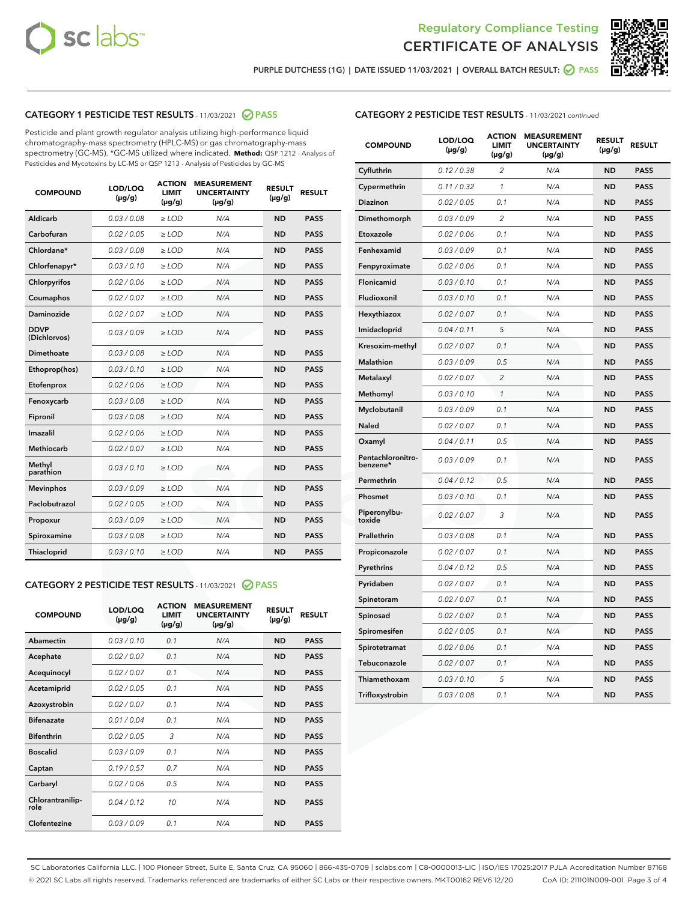



PURPLE DUTCHESS (1G) | DATE ISSUED 11/03/2021 | OVERALL BATCH RESULT: @ PASS

### CATEGORY 1 PESTICIDE TEST RESULTS - 11/03/2021 2 PASS

Pesticide and plant growth regulator analysis utilizing high-performance liquid chromatography-mass spectrometry (HPLC-MS) or gas chromatography-mass spectrometry (GC-MS). \*GC-MS utilized where indicated. **Method:** QSP 1212 - Analysis of Pesticides and Mycotoxins by LC-MS or QSP 1213 - Analysis of Pesticides by GC-MS

| <b>COMPOUND</b>             | LOD/LOQ<br>$(\mu g/g)$ | <b>ACTION</b><br>LIMIT<br>$(\mu g/g)$ | <b>MEASUREMENT</b><br><b>UNCERTAINTY</b><br>$(\mu g/g)$ | <b>RESULT</b><br>$(\mu g/g)$ | <b>RESULT</b> |
|-----------------------------|------------------------|---------------------------------------|---------------------------------------------------------|------------------------------|---------------|
| Aldicarb                    | 0.03 / 0.08            | $\ge$ LOD                             | N/A                                                     | <b>ND</b>                    | <b>PASS</b>   |
| Carbofuran                  | 0.02/0.05              | $>$ LOD                               | N/A                                                     | <b>ND</b>                    | <b>PASS</b>   |
| Chlordane*                  | 0.03 / 0.08            | ≥ LOD                                 | N/A                                                     | <b>ND</b>                    | <b>PASS</b>   |
| Chlorfenapyr*               | 0.03/0.10              | $\ge$ LOD                             | N/A                                                     | <b>ND</b>                    | <b>PASS</b>   |
| Chlorpyrifos                | 0.02 / 0.06            | $>$ LOD                               | N/A                                                     | <b>ND</b>                    | <b>PASS</b>   |
| Coumaphos                   | 0.02 / 0.07            | $\ge$ LOD                             | N/A                                                     | <b>ND</b>                    | <b>PASS</b>   |
| <b>Daminozide</b>           | 0.02 / 0.07            | $\ge$ LOD                             | N/A                                                     | <b>ND</b>                    | <b>PASS</b>   |
| <b>DDVP</b><br>(Dichlorvos) | 0.03/0.09              | $\geq$ LOD                            | N/A                                                     | <b>ND</b>                    | <b>PASS</b>   |
| <b>Dimethoate</b>           | 0.03 / 0.08            | $\geq$ LOD                            | N/A                                                     | <b>ND</b>                    | <b>PASS</b>   |
| Ethoprop(hos)               | 0.03/0.10              | $\geq$ LOD                            | N/A                                                     | <b>ND</b>                    | <b>PASS</b>   |
| Etofenprox                  | 0.02 / 0.06            | $\ge$ LOD                             | N/A                                                     | <b>ND</b>                    | <b>PASS</b>   |
| Fenoxycarb                  | 0.03 / 0.08            | $\geq$ LOD                            | N/A                                                     | <b>ND</b>                    | <b>PASS</b>   |
| Fipronil                    | 0.03 / 0.08            | $>$ LOD                               | N/A                                                     | <b>ND</b>                    | <b>PASS</b>   |
| Imazalil                    | 0.02 / 0.06            | $\ge$ LOD                             | N/A                                                     | <b>ND</b>                    | <b>PASS</b>   |
| <b>Methiocarb</b>           | 0.02 / 0.07            | ≥ LOD                                 | N/A                                                     | <b>ND</b>                    | <b>PASS</b>   |
| Methyl<br>parathion         | 0.03/0.10              | $\geq$ LOD                            | N/A                                                     | <b>ND</b>                    | <b>PASS</b>   |
| <b>Mevinphos</b>            | 0.03/0.09              | $>$ LOD                               | N/A                                                     | <b>ND</b>                    | <b>PASS</b>   |
| Paclobutrazol               | 0.02 / 0.05            | $\ge$ LOD                             | N/A                                                     | <b>ND</b>                    | <b>PASS</b>   |
| Propoxur                    | 0.03/0.09              | $>$ LOD                               | N/A                                                     | <b>ND</b>                    | <b>PASS</b>   |
| Spiroxamine                 | 0.03 / 0.08            | $>$ LOD                               | N/A                                                     | <b>ND</b>                    | <b>PASS</b>   |
| Thiacloprid                 | 0.03/0.10              | $\geq$ LOD                            | N/A                                                     | <b>ND</b>                    | <b>PASS</b>   |

#### CATEGORY 2 PESTICIDE TEST RESULTS - 11/03/2021 @ PASS

| <b>COMPOUND</b>          | LOD/LOQ<br>$(\mu g/g)$ | <b>ACTION</b><br><b>LIMIT</b><br>$(\mu g/g)$ | <b>MEASUREMENT</b><br><b>UNCERTAINTY</b><br>$(\mu g/g)$ | <b>RESULT</b><br>$(\mu g/g)$ | <b>RESULT</b> |
|--------------------------|------------------------|----------------------------------------------|---------------------------------------------------------|------------------------------|---------------|
| Abamectin                | 0.03/0.10              | 0.1                                          | N/A                                                     | <b>ND</b>                    | <b>PASS</b>   |
| Acephate                 | 0.02/0.07              | 0.1                                          | N/A                                                     | <b>ND</b>                    | <b>PASS</b>   |
| Acequinocyl              | 0.02/0.07              | 0.1                                          | N/A                                                     | <b>ND</b>                    | <b>PASS</b>   |
| Acetamiprid              | 0.02/0.05              | 0.1                                          | N/A                                                     | <b>ND</b>                    | <b>PASS</b>   |
| Azoxystrobin             | 0.02/0.07              | 0.1                                          | N/A                                                     | <b>ND</b>                    | <b>PASS</b>   |
| <b>Bifenazate</b>        | 0.01/0.04              | 0.1                                          | N/A                                                     | <b>ND</b>                    | <b>PASS</b>   |
| <b>Bifenthrin</b>        | 0.02/0.05              | 3                                            | N/A                                                     | <b>ND</b>                    | <b>PASS</b>   |
| <b>Boscalid</b>          | 0.03/0.09              | 0.1                                          | N/A                                                     | <b>ND</b>                    | <b>PASS</b>   |
| Captan                   | 0.19/0.57              | 0.7                                          | N/A                                                     | <b>ND</b>                    | <b>PASS</b>   |
| Carbaryl                 | 0.02/0.06              | 0.5                                          | N/A                                                     | <b>ND</b>                    | <b>PASS</b>   |
| Chlorantranilip-<br>role | 0.04/0.12              | 10                                           | N/A                                                     | <b>ND</b>                    | <b>PASS</b>   |
| Clofentezine             | 0.03/0.09              | 0.1                                          | N/A                                                     | <b>ND</b>                    | <b>PASS</b>   |

| <b>COMPOUND</b>               | LOD/LOQ<br>$(\mu g/g)$ | <b>ACTION</b><br>LIMIT<br>(µg/g) | <b>MEASUREMENT</b><br><b>UNCERTAINTY</b><br>(µg/g) | <b>RESULT</b><br>$(\mu g/g)$ | <b>RESULT</b> |
|-------------------------------|------------------------|----------------------------------|----------------------------------------------------|------------------------------|---------------|
| Cyfluthrin                    | 0.12 / 0.38            | $\overline{c}$                   | N/A                                                | <b>ND</b>                    | <b>PASS</b>   |
| Cypermethrin                  | 0.11 / 0.32            | 1                                | N/A                                                | <b>ND</b>                    | <b>PASS</b>   |
| Diazinon                      | 0.02 / 0.05            | 0.1                              | N/A                                                | <b>ND</b>                    | <b>PASS</b>   |
| Dimethomorph                  | 0.03 / 0.09            | $\overline{2}$                   | N/A                                                | <b>ND</b>                    | <b>PASS</b>   |
| Etoxazole                     | 0.02 / 0.06            | 0.1                              | N/A                                                | <b>ND</b>                    | <b>PASS</b>   |
| Fenhexamid                    | 0.03 / 0.09            | 0.1                              | N/A                                                | <b>ND</b>                    | <b>PASS</b>   |
| Fenpyroximate                 | 0.02 / 0.06            | 0.1                              | N/A                                                | <b>ND</b>                    | <b>PASS</b>   |
| Flonicamid                    | 0.03 / 0.10            | 0.1                              | N/A                                                | ND                           | <b>PASS</b>   |
| Fludioxonil                   | 0.03 / 0.10            | 0.1                              | N/A                                                | <b>ND</b>                    | <b>PASS</b>   |
| Hexythiazox                   | 0.02 / 0.07            | 0.1                              | N/A                                                | <b>ND</b>                    | <b>PASS</b>   |
| Imidacloprid                  | 0.04 / 0.11            | 5                                | N/A                                                | <b>ND</b>                    | <b>PASS</b>   |
| Kresoxim-methyl               | 0.02 / 0.07            | 0.1                              | N/A                                                | ND                           | <b>PASS</b>   |
| Malathion                     | 0.03 / 0.09            | 0.5                              | N/A                                                | <b>ND</b>                    | <b>PASS</b>   |
| Metalaxyl                     | 0.02 / 0.07            | $\overline{c}$                   | N/A                                                | <b>ND</b>                    | <b>PASS</b>   |
| Methomyl                      | 0.03 / 0.10            | $\mathcal{I}$                    | N/A                                                | <b>ND</b>                    | <b>PASS</b>   |
| Myclobutanil                  | 0.03/0.09              | 0.1                              | N/A                                                | <b>ND</b>                    | <b>PASS</b>   |
| Naled                         | 0.02 / 0.07            | 0.1                              | N/A                                                | <b>ND</b>                    | <b>PASS</b>   |
| Oxamyl                        | 0.04 / 0.11            | 0.5                              | N/A                                                | ND                           | <b>PASS</b>   |
| Pentachloronitro-<br>benzene* | 0.03 / 0.09            | 0.1                              | N/A                                                | <b>ND</b>                    | <b>PASS</b>   |
| Permethrin                    | 0.04 / 0.12            | 0.5                              | N/A                                                | <b>ND</b>                    | <b>PASS</b>   |
| Phosmet                       | 0.03 / 0.10            | 0.1                              | N/A                                                | <b>ND</b>                    | <b>PASS</b>   |
| Piperonylbu-<br>toxide        | 0.02 / 0.07            | 3                                | N/A                                                | <b>ND</b>                    | <b>PASS</b>   |
| Prallethrin                   | 0.03 / 0.08            | 0.1                              | N/A                                                | ND                           | <b>PASS</b>   |
| Propiconazole                 | 0.02 / 0.07            | 0.1                              | N/A                                                | <b>ND</b>                    | <b>PASS</b>   |
| Pyrethrins                    | 0.04 / 0.12            | 0.5                              | N/A                                                | <b>ND</b>                    | <b>PASS</b>   |
| Pyridaben                     | 0.02 / 0.07            | 0.1                              | N/A                                                | ND                           | <b>PASS</b>   |
| Spinetoram                    | 0.02 / 0.07            | 0.1                              | N/A                                                | <b>ND</b>                    | <b>PASS</b>   |
| Spinosad                      | 0.02 / 0.07            | 0.1                              | N/A                                                | ND                           | <b>PASS</b>   |
| Spiromesifen                  | 0.02 / 0.05            | 0.1                              | N/A                                                | <b>ND</b>                    | <b>PASS</b>   |
| Spirotetramat                 | 0.02 / 0.06            | 0.1                              | N/A                                                | ND                           | PASS          |
| Tebuconazole                  | 0.02 / 0.07            | 0.1                              | N/A                                                | <b>ND</b>                    | <b>PASS</b>   |
| Thiamethoxam                  | 0.03 / 0.10            | 5                                | N/A                                                | <b>ND</b>                    | <b>PASS</b>   |
| Trifloxystrobin               | 0.03 / 0.08            | 0.1                              | N/A                                                | <b>ND</b>                    | <b>PASS</b>   |

SC Laboratories California LLC. | 100 Pioneer Street, Suite E, Santa Cruz, CA 95060 | 866-435-0709 | sclabs.com | C8-0000013-LIC | ISO/IES 17025:2017 PJLA Accreditation Number 87168 © 2021 SC Labs all rights reserved. Trademarks referenced are trademarks of either SC Labs or their respective owners. MKT00162 REV6 12/20 CoA ID: 211101N009-001 Page 3 of 4